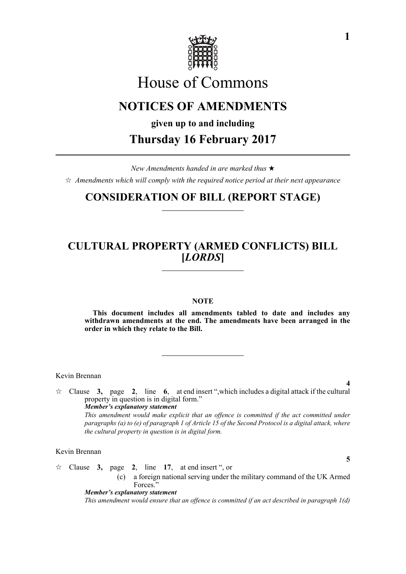

# House of Commons

# **NOTICES OF AMENDMENTS**

**given up to and including**

**Thursday 16 February 2017**

*New Amendments handed in are marked thus*   $\hat{\varphi}$  Amendments which will comply with the required notice period at their next appearance

# **CONSIDERATION OF BILL (REPORT STAGE)**

# **CULTURAL PROPERTY (ARMED CONFLICTS) BILL [***LORDS***]**

### **NOTE**

**This document includes all amendments tabled to date and includes any withdrawn amendments at the end. The amendments have been arranged in the order in which they relate to the Bill.**

Kevin Brennan

**4**  $\angle$  Clause **3,** page **2**, line **6**, at end insert ", which includes a digital attack if the cultural property in question is in digital form." *Member's explanatory statement This amendment would make explicit that an offence is committed if the act committed under paragraphs (a) to (e) of paragraph 1 of Article 15 of the Second Protocol is a digital attack, where the cultural property in question is in digital form.*

Kevin Brennan

- $\hat{\mathcal{R}}$  Clause 3, page 2, line 17, at end insert ", or
	- (c) a foreign national serving under the military command of the UK Armed Forces."

*Member's explanatory statement This amendment would ensure that an offence is committed if an act described in paragraph 1(d)*

**5**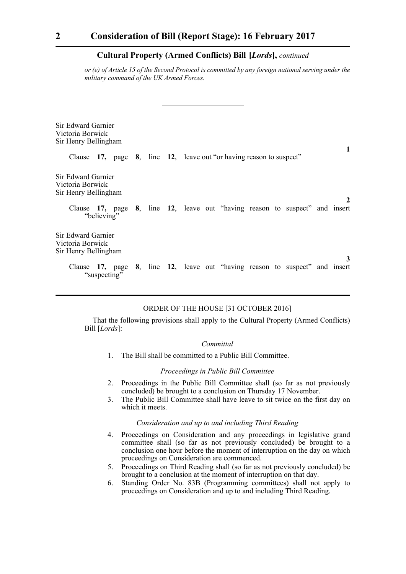### **Cultural Property (Armed Conflicts) Bill-[***Lords***],** *continued*

*or (e) of Article 15 of the Second Protocol is committed by any foreign national serving under the military command of the UK Armed Forces.*

| Sir Edward Garnier<br>Victoria Borwick<br>Sir Henry Bellingham |  |                                                                             |   |
|----------------------------------------------------------------|--|-----------------------------------------------------------------------------|---|
|                                                                |  | Clause 17, page 8, line 12, leave out "or having reason to suspect"         | 1 |
| Sir Edward Garnier<br>Victoria Borwick<br>Sir Henry Bellingham |  |                                                                             | 2 |
| "believing"                                                    |  | Clause 17, page 8, line 12, leave out "having reason to suspect" and insert |   |
| Sir Edward Garnier<br>Victoria Borwick<br>Sir Henry Bellingham |  |                                                                             | 3 |
| "suspecting"                                                   |  | Clause 17, page 8, line 12, leave out "having reason to suspect" and insert |   |

## ORDER OF THE HOUSE [31 OCTOBER 2016]

That the following provisions shall apply to the Cultural Property (Armed Conflicts) Bill [*Lords*]:

#### *Committal*

1. The Bill shall be committed to a Public Bill Committee.

### *Proceedings in Public Bill Committee*

- 2. Proceedings in the Public Bill Committee shall (so far as not previously concluded) be brought to a conclusion on Thursday 17 November.
- 3. The Public Bill Committee shall have leave to sit twice on the first day on which it meets.

### *Consideration and up to and including Third Reading*

- 4. Proceedings on Consideration and any proceedings in legislative grand committee shall (so far as not previously concluded) be brought to a conclusion one hour before the moment of interruption on the day on which proceedings on Consideration are commenced.
- 5. Proceedings on Third Reading shall (so far as not previously concluded) be brought to a conclusion at the moment of interruption on that day.
- 6. Standing Order No. 83B (Programming committees) shall not apply to proceedings on Consideration and up to and including Third Reading.